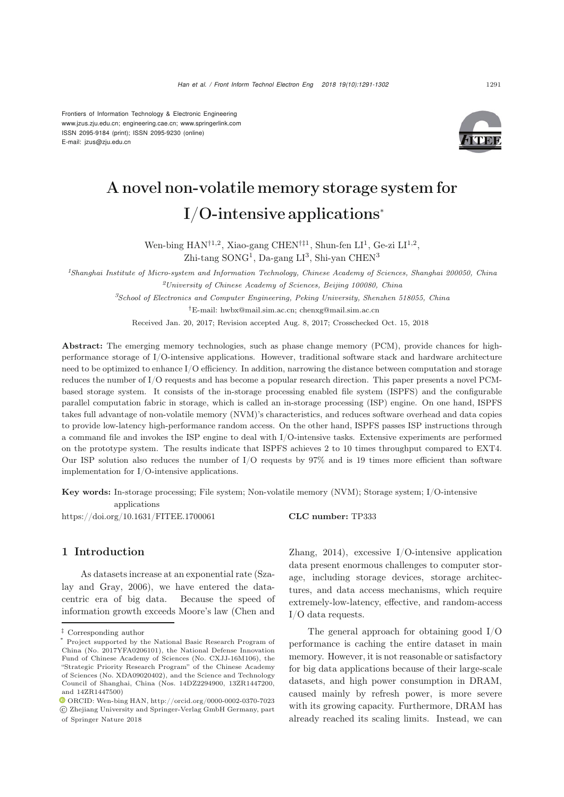Frontiers of Information Technology & Electronic Engineering www.jzus.zju.edu.cn; engineering.cae.cn; www.springerlink.com ISSN 2095-9184 (print); ISSN 2095-9230 (online) E-mail: jzus@zju.edu.cn



# $\mathcal{A} \setminus \mathcal{A}$  is mediately storage system for  $\mathcal{A}$ I/O-intensive applications<sup>∗</sup>

Wen-bing HAN<sup>†1,2</sup>, Xiao-gang CHEN<sup>†‡1</sup>, Shun-fen LI<sup>1</sup>, Ge-zi LI<sup>1,2</sup>,  $\text{Zhi-tang SONG}^1$ , Da-gang LI<sup>3</sup>, Shi-yan CHEN<sup>3</sup>

*<sup>1</sup>Shanghai Institute of Micro-system and Information Technology, Chinese Academy of Sciences, Shanghai 200050, China <sup>2</sup>University of Chinese Academy of Sciences, Beijing 100080, China*

*<sup>3</sup>School of Electronics and Computer Engineering, Peking University, Shenzhen 518055, China*

†E-mail: hwbx@mail.sim.ac.cn; chenxg@mail.sim.ac.cn

Received Jan. 20, 2017; Revision accepted Aug. 8, 2017; Crosschecked Oct. 15, 2018

Abstract: The emerging memory technologies, such as phase change memory (PCM), provide chances for highperformance storage of I/O-intensive applications. However, traditional software stack and hardware architecture need to be optimized to enhance I/O efficiency. In addition, narrowing the distance between computation and storage reduces the number of I/O requests and has become a popular research direction. This paper presents a novel PCMbased storage system. It consists of the in-storage processing enabled file system (ISPFS) and the configurable parallel computation fabric in storage, which is called an in-storage processing (ISP) engine. On one hand, ISPFS takes full advantage of non-volatile memory (NVM)'s characteristics, and reduces software overhead and data copies to provide low-latency high-performance random access. On the other hand, ISPFS passes ISP instructions through a command file and invokes the ISP engine to deal with I/O-intensive tasks. Extensive experiments are performed on the prototype system. The results indicate that ISPFS achieves 2 to 10 times throughput compared to EXT4. Our ISP solution also reduces the number of I/O requests by 97% and is 19 times more efficient than software implementation for I/O-intensive applications.

Key words: In-storage processing; File system; Non-volatile memory (NVM); Storage system; I/O-intensive applications

https://doi.org/10.1631/FITEE.1700061 CLC number: TP333

#### 1 Introduction

As datasets increase at an exponential rate (Szalay and Gray, 2006), we have entered the datacentric era of big data. Because the speed of information growth exceeds Moore's law (Chen and

Zhang, 2014), excessive I/O-intensive application data present enormous challenges to computer storage, including storage devices, storage architectures, and data access mechanisms, which require extremely-low-latency, effective, and random-access I/O data requests.

The general approach for obtaining good I/O performance is caching the entire dataset in main memory. However, it is not reasonable or satisfactory for big data applications because of their large-scale datasets, and high power consumption in DRAM, caused mainly by refresh power, is more severe with its growing capacity. Furthermore, DRAM has already reached its scaling limits. Instead, we can

<sup>‡</sup> Corresponding author

Project supported by the National Basic Research Program of China (No. 2017YFA0206101), the National Defense Innovation Fund of Chinese Academy of Sciences (No. CXJJ-16M106), the "Strategic Priority Research Program" of the Chinese Academy of Sciences (No. XDA09020402), and the Science and Technology Council of Shanghai, China (Nos. 14DZ2294900, 13ZR1447200, and 14ZR1447500)

ORCID: Wen-bing HAN, http://orcid.org/0000-0002-0370-7023 c Zhejiang University and Springer-Verlag GmbH Germany, part of Springer Nature 2018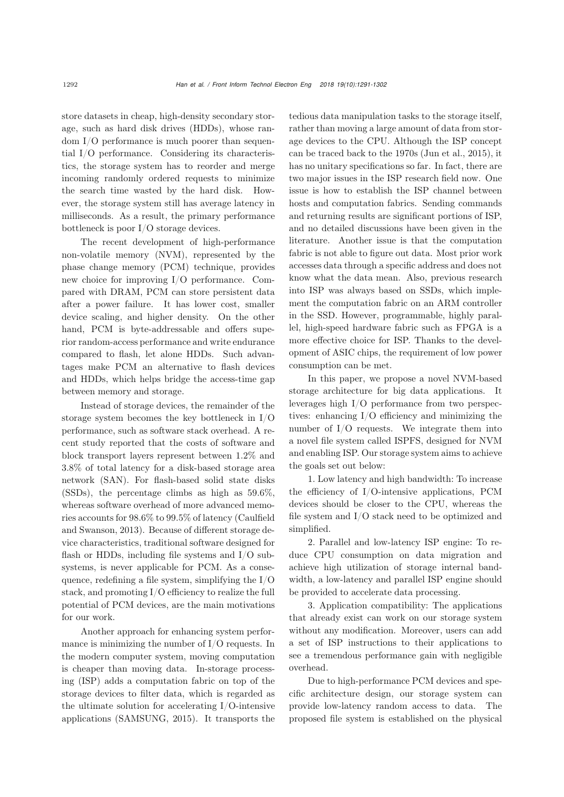store datasets in cheap, high-density secondary storage, such as hard disk drives (HDDs), whose random I/O performance is much poorer than sequential I/O performance. Considering its characteristics, the storage system has to reorder and merge incoming randomly ordered requests to minimize the search time wasted by the hard disk. However, the storage system still has average latency in milliseconds. As a result, the primary performance bottleneck is poor I/O storage devices.

The recent development of high-performance non-volatile memory (NVM), represented by the phase change memory (PCM) technique, provides new choice for improving I/O performance. Compared with DRAM, PCM can store persistent data after a power failure. It has lower cost, smaller device scaling, and higher density. On the other hand, PCM is byte-addressable and offers superior random-access performance and write endurance compared to flash, let alone HDDs. Such advantages make PCM an alternative to flash devices and HDDs, which helps bridge the access-time gap between memory and storage.

Instead of storage devices, the remainder of the storage system becomes the key bottleneck in I/O performance, such as software stack overhead. A recent study reported that the costs of software and block transport layers represent between 1.2% and 3.8% of total latency for a disk-based storage area network (SAN). For flash-based solid state disks (SSDs), the percentage climbs as high as 59.6%, whereas software overhead of more advanced memories accounts for 98.6% to 99.5% of latency (Caulfield and Swanson, 2013). Because of different storage device characteristics, traditional software designed for flash or HDDs, including file systems and I/O subsystems, is never applicable for PCM. As a consequence, redefining a file system, simplifying the I/O stack, and promoting I/O efficiency to realize the full potential of PCM devices, are the main motivations for our work.

Another approach for enhancing system performance is minimizing the number of I/O requests. In the modern computer system, moving computation is cheaper than moving data. In-storage processing (ISP) adds a computation fabric on top of the storage devices to filter data, which is regarded as the ultimate solution for accelerating I/O-intensive applications (SAMSUNG, 2015). It transports the

tedious data manipulation tasks to the storage itself, rather than moving a large amount of data from storage devices to the CPU. Although the ISP concept can be traced back to the 1970s (Jun et al., 2015), it has no unitary specifications so far. In fact, there are two major issues in the ISP research field now. One issue is how to establish the ISP channel between hosts and computation fabrics. Sending commands and returning results are significant portions of ISP, and no detailed discussions have been given in the literature. Another issue is that the computation fabric is not able to figure out data. Most prior work accesses data through a specific address and does not know what the data mean. Also, previous research into ISP was always based on SSDs, which implement the computation fabric on an ARM controller in the SSD. However, programmable, highly parallel, high-speed hardware fabric such as FPGA is a more effective choice for ISP. Thanks to the development of ASIC chips, the requirement of low power consumption can be met.

In this paper, we propose a novel NVM-based storage architecture for big data applications. It leverages high I/O performance from two perspectives: enhancing I/O efficiency and minimizing the number of I/O requests. We integrate them into a novel file system called ISPFS, designed for NVM and enabling ISP. Our storage system aims to achieve the goals set out below:

1. Low latency and high bandwidth: To increase the efficiency of I/O-intensive applications, PCM devices should be closer to the CPU, whereas the file system and I/O stack need to be optimized and simplified.

2. Parallel and low-latency ISP engine: To reduce CPU consumption on data migration and achieve high utilization of storage internal bandwidth, a low-latency and parallel ISP engine should be provided to accelerate data processing.

3. Application compatibility: The applications that already exist can work on our storage system without any modification. Moreover, users can add a set of ISP instructions to their applications to see a tremendous performance gain with negligible overhead.

Due to high-performance PCM devices and specific architecture design, our storage system can provide low-latency random access to data. The proposed file system is established on the physical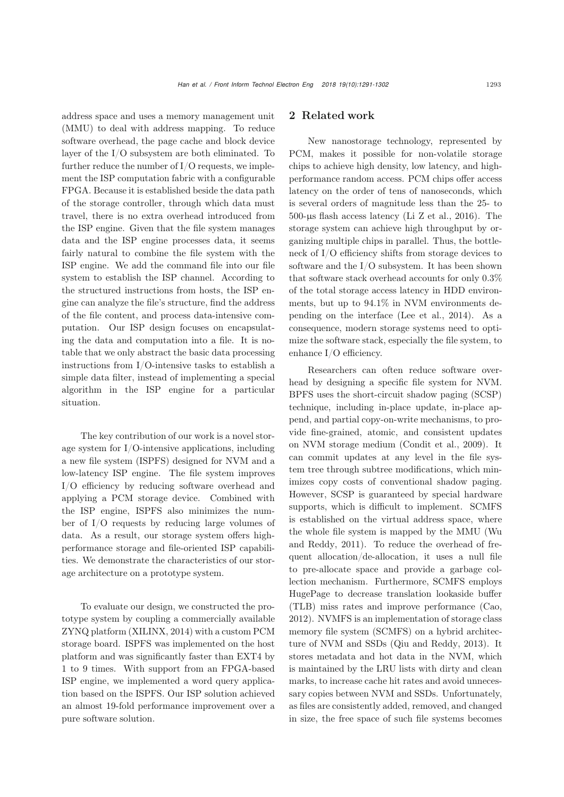address space and uses a memory management unit (MMU) to deal with address mapping. To reduce software overhead, the page cache and block device layer of the I/O subsystem are both eliminated. To further reduce the number of  $I/O$  requests, we implement the ISP computation fabric with a configurable FPGA. Because it is established beside the data path of the storage controller, through which data must travel, there is no extra overhead introduced from the ISP engine. Given that the file system manages data and the ISP engine processes data, it seems fairly natural to combine the file system with the ISP engine. We add the command file into our file system to establish the ISP channel. According to the structured instructions from hosts, the ISP engine can analyze the file's structure, find the address of the file content, and process data-intensive computation. Our ISP design focuses on encapsulating the data and computation into a file. It is notable that we only abstract the basic data processing instructions from I/O-intensive tasks to establish a simple data filter, instead of implementing a special algorithm in the ISP engine for a particular situation.

The key contribution of our work is a novel storage system for  $I/O$ -intensive applications, including a new file system (ISPFS) designed for NVM and a low-latency ISP engine. The file system improves I/O efficiency by reducing software overhead and applying a PCM storage device. Combined with the ISP engine, ISPFS also minimizes the number of I/O requests by reducing large volumes of data. As a result, our storage system offers highperformance storage and file-oriented ISP capabilities. We demonstrate the characteristics of our storage architecture on a prototype system.

To evaluate our design, we constructed the prototype system by coupling a commercially available ZYNQ platform (XILINX, 2014) with a custom PCM storage board. ISPFS was implemented on the host platform and was significantly faster than EXT4 by 1 to 9 times. With support from an FPGA-based ISP engine, we implemented a word query application based on the ISPFS. Our ISP solution achieved an almost 19-fold performance improvement over a pure software solution.

## 2 Related work

New nanostorage technology, represented by PCM, makes it possible for non-volatile storage chips to achieve high density, low latency, and highperformance random access. PCM chips offer access latency on the order of tens of nanoseconds, which is several orders of magnitude less than the 25- to 500-µs flash access latency (Li Z et al., 2016). The storage system can achieve high throughput by organizing multiple chips in parallel. Thus, the bottleneck of I/O efficiency shifts from storage devices to software and the I/O subsystem. It has been shown that software stack overhead accounts for only 0.3% of the total storage access latency in HDD environments, but up to 94.1% in NVM environments depending on the interface (Lee et al., 2014). As a consequence, modern storage systems need to optimize the software stack, especially the file system, to enhance I/O efficiency.

Researchers can often reduce software overhead by designing a specific file system for NVM. BPFS uses the short-circuit shadow paging (SCSP) technique, including in-place update, in-place append, and partial copy-on-write mechanisms, to provide fine-grained, atomic, and consistent updates on NVM storage medium (Condit et al., 2009). It can commit updates at any level in the file system tree through subtree modifications, which minimizes copy costs of conventional shadow paging. However, SCSP is guaranteed by special hardware supports, which is difficult to implement. SCMFS is established on the virtual address space, where the whole file system is mapped by the MMU (Wu and Reddy, 2011). To reduce the overhead of frequent allocation/de-allocation, it uses a null file to pre-allocate space and provide a garbage collection mechanism. Furthermore, SCMFS employs HugePage to decrease translation lookaside buffer (TLB) miss rates and improve performance (Cao, 2012). NVMFS is an implementation of storage class memory file system (SCMFS) on a hybrid architecture of NVM and SSDs (Qiu and Reddy, 2013). It stores metadata and hot data in the NVM, which is maintained by the LRU lists with dirty and clean marks, to increase cache hit rates and avoid unnecessary copies between NVM and SSDs. Unfortunately, as files are consistently added, removed, and changed in size, the free space of such file systems becomes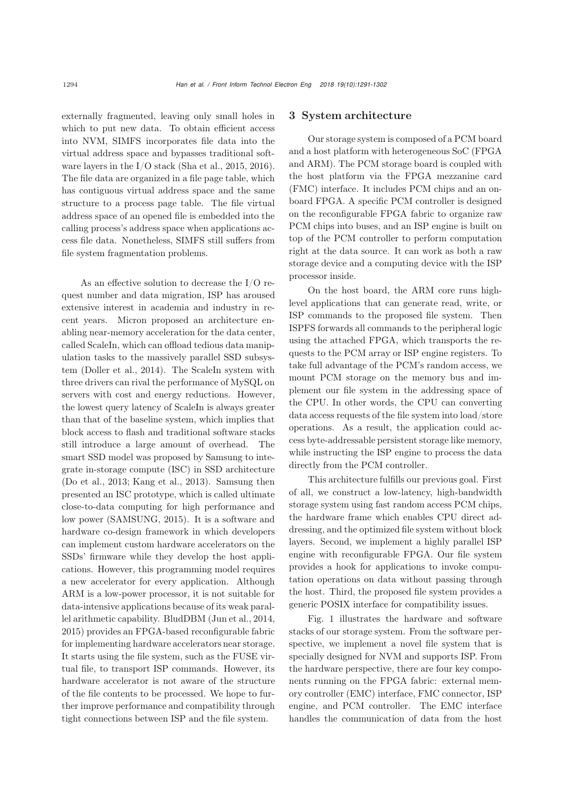externally fragmented, leaving only small holes in which to put new data. To obtain efficient access into NVM, SIMFS incorporates file data into the virtual address space and bypasses traditional software layers in the I/O stack (Sha et al., 2015, 2016). The file data are organized in a file page table, which has contiguous virtual address space and the same structure to a process page table. The file virtual address space of an opened file is embedded into the calling process's address space when applications access file data. Nonetheless, SIMFS still suffers from file system fragmentation problems.

As an effective solution to decrease the I/O request number and data migration, ISP has aroused extensive interest in academia and industry in recent years. Micron proposed an architecture enabling near-memory acceleration for the data center, called ScaleIn, which can offload tedious data manipulation tasks to the massively parallel SSD subsystem (Doller et al., 2014). The ScaleIn system with three drivers can rival the performance of MySQL on servers with cost and energy reductions. However, the lowest query latency of ScaleIn is always greater than that of the baseline system, which implies that block access to flash and traditional software stacks still introduce a large amount of overhead. The smart SSD model was proposed by Samsung to integrate in-storage compute (ISC) in SSD architecture (Do et al., 2013; Kang et al., 2013). Samsung then presented an ISC prototype, which is called ultimate close-to-data computing for high performance and low power (SAMSUNG, 2015). It is a software and hardware co-design framework in which developers can implement custom hardware accelerators on the SSDs' firmware while they develop the host applications. However, this programming model requires a new accelerator for every application. Although ARM is a low-power processor, it is not suitable for data-intensive applications because of its weak parallel arithmetic capability. BludDBM (Jun et al., 2014, 2015) provides an FPGA-based reconfigurable fabric for implementing hardware accelerators near storage. It starts using the file system, such as the FUSE virtual file, to transport ISP commands. However, its hardware accelerator is not aware of the structure of the file contents to be processed. We hope to further improve performance and compatibility through tight connections between ISP and the file system.

#### 3 System architecture

Our storage system is composed of a PCM board and a host platform with heterogeneous SoC (FPGA and ARM). The PCM storage board is coupled with the host platform via the FPGA mezzanine card (FMC) interface. It includes PCM chips and an onboard FPGA. A specific PCM controller is designed on the reconfigurable FPGA fabric to organize raw PCM chips into buses, and an ISP engine is built on top of the PCM controller to perform computation right at the data source. It can work as both a raw storage device and a computing device with the ISP processor inside.

On the host board, the ARM core runs highlevel applications that can generate read, write, or ISP commands to the proposed file system. Then ISPFS forwards all commands to the peripheral logic using the attached FPGA, which transports the requests to the PCM array or ISP engine registers. To take full advantage of the PCM's random access, we mount PCM storage on the memory bus and implement our file system in the addressing space of the CPU. In other words, the CPU can converting data access requests of the file system into load/store operations. As a result, the application could access byte-addressable persistent storage like memory, while instructing the ISP engine to process the data directly from the PCM controller.

This architecture fulfills our previous goal. First of all, we construct a low-latency, high-bandwidth storage system using fast random access PCM chips, the hardware frame which enables CPU direct addressing, and the optimized file system without block layers. Second, we implement a highly parallel ISP engine with reconfigurable FPGA. Our file system provides a hook for applications to invoke computation operations on data without passing through the host. Third, the proposed file system provides a generic POSIX interface for compatibility issues.

Fig. 1 illustrates the hardware and software stacks of our storage system. From the software perspective, we implement a novel file system that is specially designed for NVM and supports ISP. From the hardware perspective, there are four key components running on the FPGA fabric: external memory controller (EMC) interface, FMC connector, ISP engine, and PCM controller. The EMC interface handles the communication of data from the host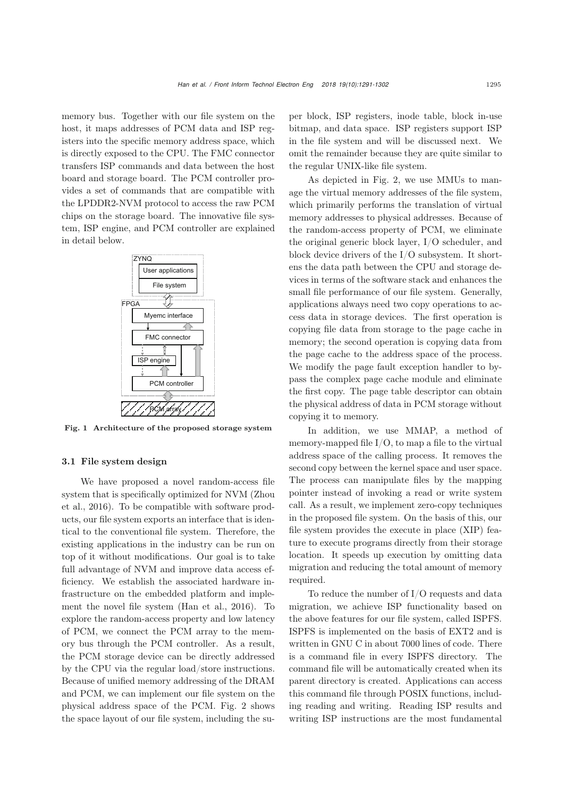memory bus. Together with our file system on the host, it maps addresses of PCM data and ISP registers into the specific memory address space, which is directly exposed to the CPU. The FMC connector transfers ISP commands and data between the host board and storage board. The PCM controller provides a set of commands that are compatible with the LPDDR2-NVM protocol to access the raw PCM chips on the storage board. The innovative file system, ISP engine, and PCM controller are explained in detail below.



Fig. 1 Architecture of the proposed storage system

#### 3.1 File system design

We have proposed a novel random-access file system that is specifically optimized for NVM (Zhou et al., 2016). To be compatible with software products, our file system exports an interface that is identical to the conventional file system. Therefore, the existing applications in the industry can be run on top of it without modifications. Our goal is to take full advantage of NVM and improve data access efficiency. We establish the associated hardware infrastructure on the embedded platform and implement the novel file system (Han et al., 2016). To explore the random-access property and low latency of PCM, we connect the PCM array to the memory bus through the PCM controller. As a result, the PCM storage device can be directly addressed by the CPU via the regular load/store instructions. Because of unified memory addressing of the DRAM and PCM, we can implement our file system on the physical address space of the PCM. Fig. 2 shows the space layout of our file system, including the super block, ISP registers, inode table, block in-use bitmap, and data space. ISP registers support ISP in the file system and will be discussed next. We omit the remainder because they are quite similar to the regular UNIX-like file system.

As depicted in Fig. 2, we use MMUs to manage the virtual memory addresses of the file system, which primarily performs the translation of virtual memory addresses to physical addresses. Because of the random-access property of PCM, we eliminate the original generic block layer, I/O scheduler, and block device drivers of the I/O subsystem. It shortens the data path between the CPU and storage devices in terms of the software stack and enhances the small file performance of our file system. Generally, applications always need two copy operations to access data in storage devices. The first operation is copying file data from storage to the page cache in memory; the second operation is copying data from the page cache to the address space of the process. We modify the page fault exception handler to bypass the complex page cache module and eliminate the first copy. The page table descriptor can obtain the physical address of data in PCM storage without copying it to memory.

In addition, we use MMAP, a method of memory-mapped file  $I/O$ , to map a file to the virtual address space of the calling process. It removes the second copy between the kernel space and user space. The process can manipulate files by the mapping pointer instead of invoking a read or write system call. As a result, we implement zero-copy techniques in the proposed file system. On the basis of this, our file system provides the execute in place (XIP) feature to execute programs directly from their storage location. It speeds up execution by omitting data migration and reducing the total amount of memory required.

To reduce the number of I/O requests and data migration, we achieve ISP functionality based on the above features for our file system, called ISPFS. ISPFS is implemented on the basis of EXT2 and is written in GNU C in about 7000 lines of code. There is a command file in every ISPFS directory. The command file will be automatically created when its parent directory is created. Applications can access this command file through POSIX functions, including reading and writing. Reading ISP results and writing ISP instructions are the most fundamental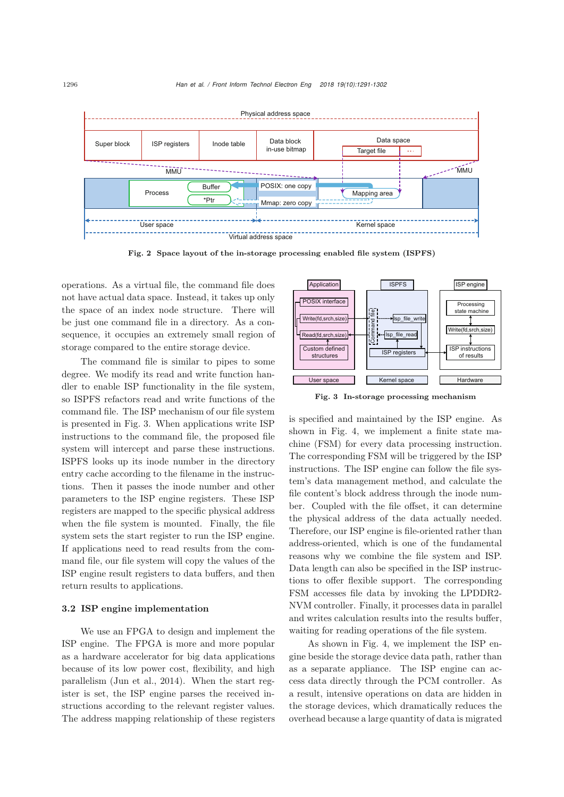

Fig. 2 Space layout of the in-storage processing enabled file system (ISPFS)

operations. As a virtual file, the command file does not have actual data space. Instead, it takes up only the space of an index node structure. There will be just one command file in a directory. As a consequence, it occupies an extremely small region of storage compared to the entire storage device.

The command file is similar to pipes to some degree. We modify its read and write function handler to enable ISP functionality in the file system, so ISPFS refactors read and write functions of the command file. The ISP mechanism of our file system is presented in Fig. 3. When applications write ISP instructions to the command file, the proposed file system will intercept and parse these instructions. ISPFS looks up its inode number in the directory entry cache according to the filename in the instructions. Then it passes the inode number and other parameters to the ISP engine registers. These ISP registers are mapped to the specific physical address when the file system is mounted. Finally, the file system sets the start register to run the ISP engine. If applications need to read results from the command file, our file system will copy the values of the ISP engine result registers to data buffers, and then return results to applications.

#### 3.2 ISP engine implementation

We use an FPGA to design and implement the ISP engine. The FPGA is more and more popular as a hardware accelerator for big data applications because of its low power cost, flexibility, and high parallelism (Jun et al., 2014). When the start register is set, the ISP engine parses the received instructions according to the relevant register values. The address mapping relationship of these registers



Fig. 3 In-storage processing mechanism

is specified and maintained by the ISP engine. As shown in Fig. 4, we implement a finite state machine (FSM) for every data processing instruction. The corresponding FSM will be triggered by the ISP instructions. The ISP engine can follow the file system's data management method, and calculate the file content's block address through the inode number. Coupled with the file offset, it can determine the physical address of the data actually needed. Therefore, our ISP engine is file-oriented rather than address-oriented, which is one of the fundamental reasons why we combine the file system and ISP. Data length can also be specified in the ISP instructions to offer flexible support. The corresponding FSM accesses file data by invoking the LPDDR2- NVM controller. Finally, it processes data in parallel and writes calculation results into the results buffer, waiting for reading operations of the file system.

As shown in Fig. 4, we implement the ISP engine beside the storage device data path, rather than as a separate appliance. The ISP engine can access data directly through the PCM controller. As a result, intensive operations on data are hidden in the storage devices, which dramatically reduces the overhead because a large quantity of data is migrated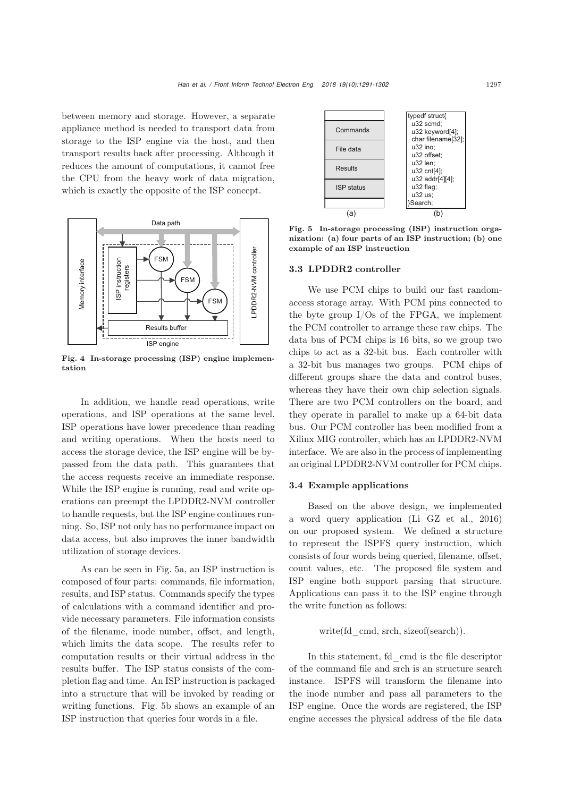between memory and storage. However, a separate appliance method is needed to transport data from storage to the ISP engine via the host, and then transport results back after processing. Although it reduces the amount of computations, it cannot free the CPU from the heavy work of data migration, which is exactly the opposite of the ISP concept.



Fig. 4 In-storage processing (ISP) engine implementation

In addition, we handle read operations, write operations, and ISP operations at the same level. ISP operations have lower precedence than reading and writing operations. When the hosts need to access the storage device, the ISP engine will be bypassed from the data path. This guarantees that the access requests receive an immediate response. While the ISP engine is running, read and write operations can preempt the LPDDR2-NVM controller to handle requests, but the ISP engine continues running. So, ISP not only has no performance impact on data access, but also improves the inner bandwidth utilization of storage devices.

As can be seen in Fig. 5a, an ISP instruction is composed of four parts: commands, file information, results, and ISP status. Commands specify the types of calculations with a command identifier and provide necessary parameters. File information consists of the filename, inode number, offset, and length, which limits the data scope. The results refer to computation results or their virtual address in the results buffer. The ISP status consists of the completion flag and time. An ISP instruction is packaged into a structure that will be invoked by reading or writing functions. Fig. 5b shows an example of an ISP instruction that queries four words in a file.



Fig. 5 In-storage processing (ISP) instruction organization: (a) four parts of an ISP instruction; (b) one example of an ISP instruction

#### 3.3 LPDDR2 controller

We use PCM chips to build our fast randomaccess storage array. With PCM pins connected to the byte group I/Os of the FPGA, we implement the PCM controller to arrange these raw chips. The data bus of PCM chips is 16 bits, so we group two chips to act as a 32-bit bus. Each controller with a 32-bit bus manages two groups. PCM chips of different groups share the data and control buses, whereas they have their own chip selection signals. There are two PCM controllers on the board, and they operate in parallel to make up a 64-bit data bus. Our PCM controller has been modified from a Xilinx MIG controller, which has an LPDDR2-NVM interface. We are also in the process of implementing an original LPDDR2-NVM controller for PCM chips.

### 3.4 Example applications

Based on the above design, we implemented a word query application (Li GZ et al., 2016) on our proposed system. We defined a structure to represent the ISPFS query instruction, which consists of four words being queried, filename, offset, count values, etc. The proposed file system and ISP engine both support parsing that structure. Applications can pass it to the ISP engine through the write function as follows:

$$
write(fd\_cmd, srch, sizeof (search)).
$$

In this statement, fd\_cmd is the file descriptor of the command file and srch is an structure search instance. ISPFS will transform the filename into the inode number and pass all parameters to the ISP engine. Once the words are registered, the ISP engine accesses the physical address of the file data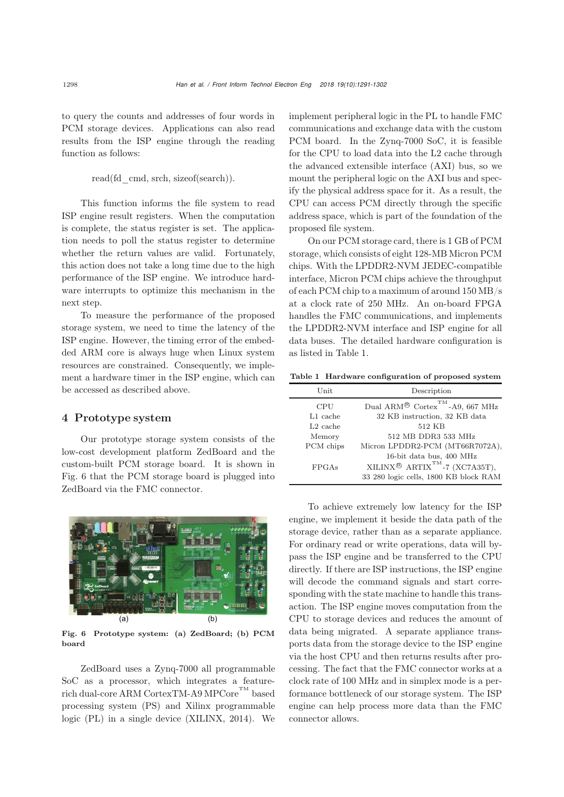to query the counts and addresses of four words in PCM storage devices. Applications can also read results from the ISP engine through the reading function as follows:

read(fd\_cmd, srch, sizeof(search)).

This function informs the file system to read ISP engine result registers. When the computation is complete, the status register is set. The application needs to poll the status register to determine whether the return values are valid. Fortunately, this action does not take a long time due to the high performance of the ISP engine. We introduce hardware interrupts to optimize this mechanism in the next step.

To measure the performance of the proposed storage system, we need to time the latency of the ISP engine. However, the timing error of the embedded ARM core is always huge when Linux system resources are constrained. Consequently, we implement a hardware timer in the ISP engine, which can be accessed as described above.

### 4 Prototype system

Our prototype storage system consists of the low-cost development platform ZedBoard and the custom-built PCM storage board. It is shown in Fig. 6 that the PCM storage board is plugged into ZedBoard via the FMC connector.



Fig. 6 Prototype system: (a) ZedBoard; (b) PCM board

ZedBoard uses a Zynq-7000 all programmable SoC as a processor, which integrates a featurerich dual-core ARM CortexTM-A9 MPCore<sup>TM</sup> based processing system (PS) and Xilinx programmable logic (PL) in a single device (XILINX, 2014). We implement peripheral logic in the PL to handle FMC communications and exchange data with the custom PCM board. In the Zynq-7000 SoC, it is feasible for the CPU to load data into the L2 cache through the advanced extensible interface (AXI) bus, so we mount the peripheral logic on the AXI bus and specify the physical address space for it. As a result, the CPU can access PCM directly through the specific address space, which is part of the foundation of the proposed file system.

On our PCM storage card, there is 1 GB of PCM storage, which consists of eight 128-MB Micron PCM chips. With the LPDDR2-NVM JEDEC-compatible interface, Micron PCM chips achieve the throughput of each PCM chip to a maximum of around 150 MB/s at a clock rate of 250 MHz. An on-board FPGA handles the FMC communications, and implements the LPDDR2-NVM interface and ISP engine for all data buses. The detailed hardware configuration is as listed in Table 1.

Table 1 Hardware configuration of proposed system

| Unit       | Description                                                    |
|------------|----------------------------------------------------------------|
| CPU        | Dual $ARM^{\textcircled{B}}$ Cortex <sup>TM</sup> -A9, 667 MHz |
| L1 cache   | 32 KB instruction, 32 KB data                                  |
| $L2$ cache | 512 KB                                                         |
| Memory     | 512 MB DDR3 533 MHz                                            |
| PCM chips  | Micron LPDDR2-PCM (MT66R7072A),                                |
|            | 16-bit data bus, 400 MHz                                       |
| FPGAs      | XILINX <sup>®</sup> ARTIX <sup>TM</sup> -7 (XC7A35T),          |
|            | 33 280 logic cells, 1800 KB block RAM                          |

To achieve extremely low latency for the ISP engine, we implement it beside the data path of the storage device, rather than as a separate appliance. For ordinary read or write operations, data will bypass the ISP engine and be transferred to the CPU directly. If there are ISP instructions, the ISP engine will decode the command signals and start corresponding with the state machine to handle this transaction. The ISP engine moves computation from the CPU to storage devices and reduces the amount of data being migrated. A separate appliance transports data from the storage device to the ISP engine via the host CPU and then returns results after processing. The fact that the FMC connector works at a clock rate of 100 MHz and in simplex mode is a performance bottleneck of our storage system. The ISP engine can help process more data than the FMC connector allows.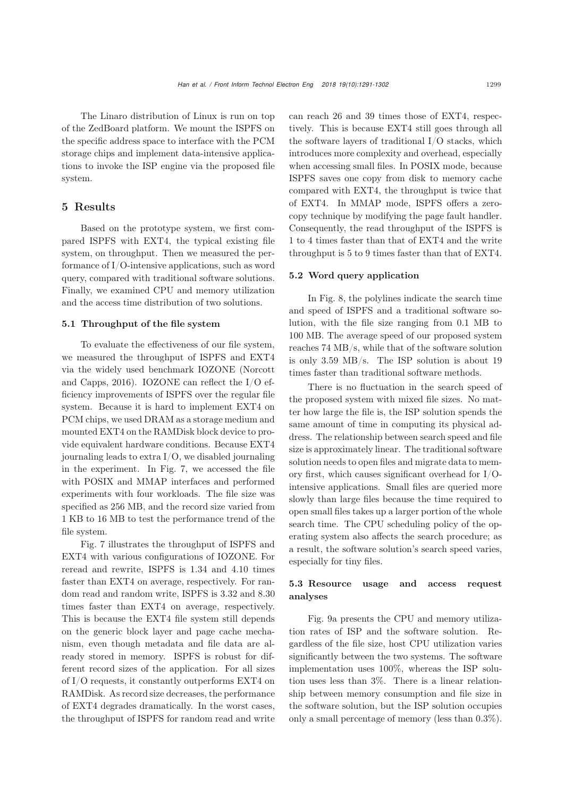The Linaro distribution of Linux is run on top of the ZedBoard platform. We mount the ISPFS on the specific address space to interface with the PCM storage chips and implement data-intensive applications to invoke the ISP engine via the proposed file system.

## 5 Results

Based on the prototype system, we first compared ISPFS with EXT4, the typical existing file system, on throughput. Then we measured the performance of I/O-intensive applications, such as word query, compared with traditional software solutions. Finally, we examined CPU and memory utilization and the access time distribution of two solutions.

#### 5.1 Throughput of the file system

To evaluate the effectiveness of our file system, we measured the throughput of ISPFS and EXT4 via the widely used benchmark IOZONE (Norcott and Capps, 2016). IOZONE can reflect the I/O efficiency improvements of ISPFS over the regular file system. Because it is hard to implement EXT4 on PCM chips, we used DRAM as a storage medium and mounted EXT4 on the RAMDisk block device to provide equivalent hardware conditions. Because EXT4 journaling leads to extra I/O, we disabled journaling in the experiment. In Fig. 7, we accessed the file with POSIX and MMAP interfaces and performed experiments with four workloads. The file size was specified as 256 MB, and the record size varied from 1 KB to 16 MB to test the performance trend of the file system.

Fig. 7 illustrates the throughput of ISPFS and EXT4 with various configurations of IOZONE. For reread and rewrite, ISPFS is 1.34 and 4.10 times faster than EXT4 on average, respectively. For random read and random write, ISPFS is 3.32 and 8.30 times faster than EXT4 on average, respectively. This is because the EXT4 file system still depends on the generic block layer and page cache mechanism, even though metadata and file data are already stored in memory. ISPFS is robust for different record sizes of the application. For all sizes of I/O requests, it constantly outperforms EXT4 on RAMDisk. As record size decreases, the performance of EXT4 degrades dramatically. In the worst cases, the throughput of ISPFS for random read and write

can reach 26 and 39 times those of EXT4, respectively. This is because EXT4 still goes through all the software layers of traditional I/O stacks, which introduces more complexity and overhead, especially when accessing small files. In POSIX mode, because ISPFS saves one copy from disk to memory cache compared with EXT4, the throughput is twice that of EXT4. In MMAP mode, ISPFS offers a zerocopy technique by modifying the page fault handler. Consequently, the read throughput of the ISPFS is 1 to 4 times faster than that of EXT4 and the write throughput is 5 to 9 times faster than that of EXT4.

#### 5.2 Word query application

In Fig. 8, the polylines indicate the search time and speed of ISPFS and a traditional software solution, with the file size ranging from 0.1 MB to 100 MB. The average speed of our proposed system reaches 74 MB/s, while that of the software solution is only 3.59 MB/s. The ISP solution is about 19 times faster than traditional software methods.

There is no fluctuation in the search speed of the proposed system with mixed file sizes. No matter how large the file is, the ISP solution spends the same amount of time in computing its physical address. The relationship between search speed and file size is approximately linear. The traditional software solution needs to open files and migrate data to memory first, which causes significant overhead for I/Ointensive applications. Small files are queried more slowly than large files because the time required to open small files takes up a larger portion of the whole search time. The CPU scheduling policy of the operating system also affects the search procedure; as a result, the software solution's search speed varies, especially for tiny files.

## 5.3 Resource usage and access request analyses

Fig. 9a presents the CPU and memory utilization rates of ISP and the software solution. Regardless of the file size, host CPU utilization varies significantly between the two systems. The software implementation uses 100%, whereas the ISP solution uses less than 3%. There is a linear relationship between memory consumption and file size in the software solution, but the ISP solution occupies only a small percentage of memory (less than 0.3%).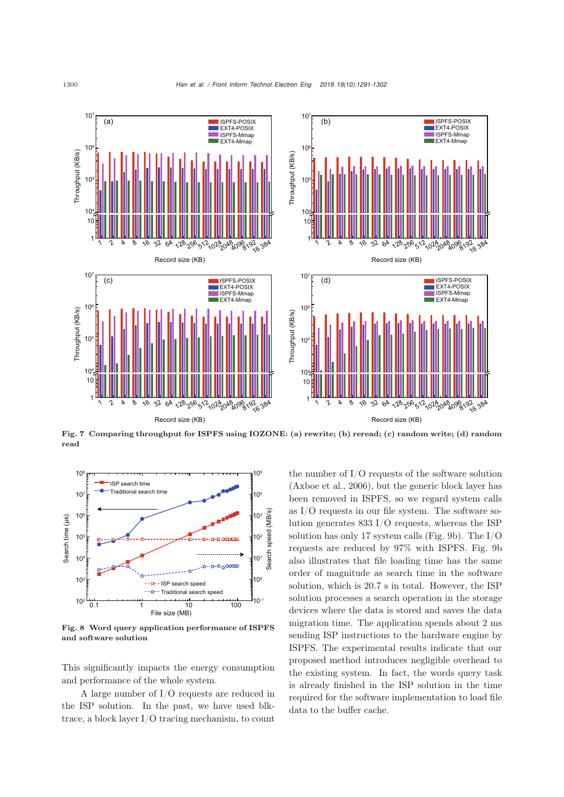

Fig. 7 Comparing throughput for ISPFS using IOZONE: (a) rewrite; (b) reread; (c) random write; (d) random read



Fig. 8 Word query application performance of ISPFS and software solution

This significantly impacts the energy consumption and performance of the whole system.

A large number of I/O requests are reduced in the ISP solution. In the past, we have used blktrace, a block layer I/O tracing mechanism, to count

the number of I/O requests of the software solution (Axboe et al., 2006), but the generic block layer has been removed in ISPFS, so we regard system calls as I/O requests in our file system. The software solution generates 833 I/O requests, whereas the ISP solution has only 17 system calls (Fig. 9b). The I/O requests are reduced by 97% with ISPFS. Fig. 9b also illustrates that file loading time has the same order of magnitude as search time in the software solution, which is 20.7 s in total. However, the ISP solution processes a search operation in the storage devices where the data is stored and saves the data migration time. The application spends about 2 ms sending ISP instructions to the hardware engine by ISPFS. The experimental results indicate that our proposed method introduces negligible overhead to the existing system. In fact, the words query task is already finished in the ISP solution in the time required for the software implementation to load file data to the buffer cache.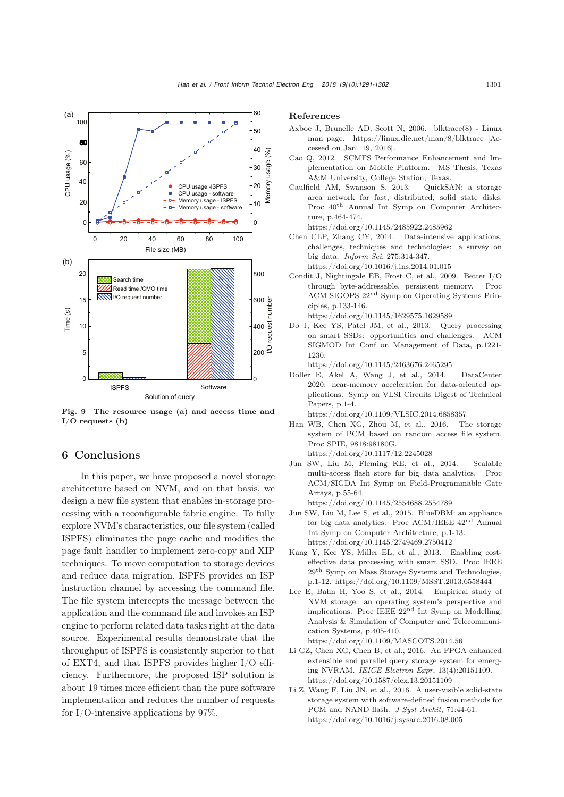

Fig. 9 The resource usage (a) and access time and I/O requests (b)

# 6 Conclusions

In this paper, we have proposed a novel storage architecture based on NVM, and on that basis, we design a new file system that enables in-storage processing with a reconfigurable fabric engine. To fully explore NVM's characteristics, our file system (called ISPFS) eliminates the page cache and modifies the page fault handler to implement zero-copy and XIP techniques. To move computation to storage devices and reduce data migration, ISPFS provides an ISP instruction channel by accessing the command file. The file system intercepts the message between the application and the command file and invokes an ISP engine to perform related data tasks right at the data source. Experimental results demonstrate that the throughput of ISPFS is consistently superior to that of EXT4, and that ISPFS provides higher I/O efficiency. Furthermore, the proposed ISP solution is about 19 times more efficient than the pure software implementation and reduces the number of requests for I/O-intensive applications by 97%.

#### References

- Axboe J, Brunelle AD, Scott N, 2006. blktrace(8) Linux man page. https://linux.die.net/man/8/blktrace [Accessed on Jan. 19, 2016].
- Cao Q, 2012. SCMFS Performance Enhancement and Implementation on Mobile Platform. MS Thesis, Texas A&M University, College Station, Texas.
- Caulfield AM, Swanson S, 2013. QuickSAN: a storage area network for fast, distributed, solid state disks. Proc  $40^{th}$  Annual Int Symp on Computer Architecture, p.464-474.

https://doi.org/10.1145/2485922.2485962

- Chen CLP, Zhang CY, 2014. Data-intensive applications, challenges, techniques and technologies: a survey on big data. *Inform Sci*, 275:314-347. https://doi.org/10.1016/j.ins.2014.01.015
- Condit J, Nightingale EB, Frost C, et al., 2009. Better I/O through byte-addressable, persistent memory. Proc ACM SIGOPS 22nd Symp on Operating Systems Principles, p.133-146. https://doi.org/10.1145/1629575.1629589
- Do J, Kee YS, Patel JM, et al., 2013. Query processing on smart SSDs: opportunities and challenges. ACM SIGMOD Int Conf on Management of Data, p.1221- 1230.

https://doi.org/10.1145/2463676.2465295

- Doller E, Akel A, Wang J, et al., 2014. DataCenter 2020: near-memory acceleration for data-oriented applications. Symp on VLSI Circuits Digest of Technical Papers, p.1-4.
	- https://doi.org/10.1109/VLSIC.2014.6858357
- Han WB, Chen XG, Zhou M, et al., 2016. The storage system of PCM based on random access file system. Proc SPIE, 9818:98180G. https://doi.org/10.1117/12.2245028
- Jun SW, Liu M, Fleming KE, et al., 2014. Scalable multi-access flash store for big data analytics. Proc ACM/SIGDA Int Symp on Field-Programmable Gate Arrays, p.55-64.
- https://doi.org/10.1145/2554688.2554789 Jun SW, Liu M, Lee S, et al., 2015. BlueDBM: an appliance for big data analytics. Proc ACM/IEEE 42nd Annual
	- Int Symp on Computer Architecture, p.1-13. https://doi.org/10.1145/2749469.2750412
- Kang Y, Kee YS, Miller EL, et al., 2013. Enabling costeffective data processing with smart SSD. Proc IEEE 29th Symp on Mass Storage Systems and Technologies, p.1-12. https://doi.org/10.1109/MSST.2013.6558444
- Lee E, Bahn H, Yoo S, et al., 2014. Empirical study of NVM storage: an operating system's perspective and implications. Proc IEEE 22nd Int Symp on Modelling, Analysis & Simulation of Computer and Telecommunication Systems, p.405-410. https://doi.org/10.1109/MASCOTS.2014.56
- Li GZ, Chen XG, Chen B, et al., 2016. An FPGA enhanced extensible and parallel query storage system for emerging NVRAM. *IEICE Electron Expr*, 13(4):20151109. https://doi.org/10.1587/elex.13.20151109
- Li Z, Wang F, Liu JN, et al., 2016. A user-visible solid-state storage system with software-defined fusion methods for PCM and NAND flash. *J Syst Archit*, 71:44-61. https://doi.org/10.1016/j.sysarc.2016.08.005